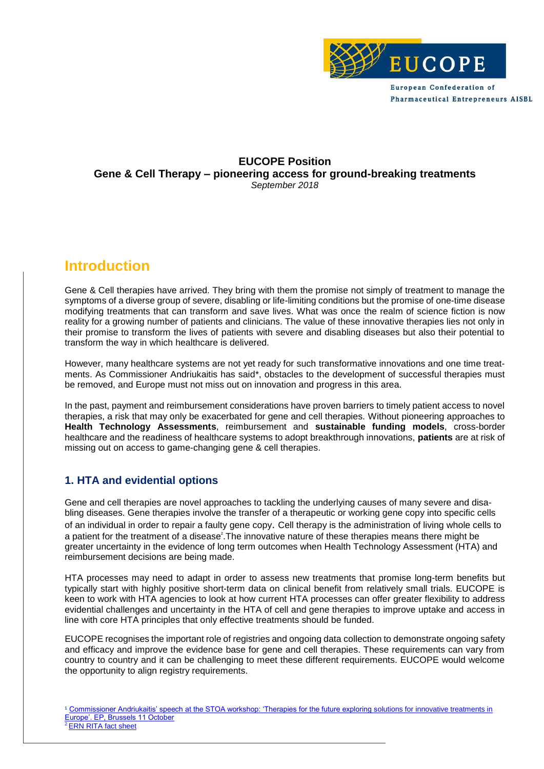

**European Confederation of Pharmaceutical Entrepreneurs AISBL** 

#### **EUCOPE Position Gene & Cell Therapy – pioneering access for ground-breaking treatments** *September 2018*

## **Introduction**

Gene & Cell therapies have arrived. They bring with them the promise not simply of treatment to manage the symptoms of a diverse group of severe, disabling or life-limiting conditions but the promise of one-time disease modifying treatments that can transform and save lives. What was once the realm of science fiction is now reality for a growing number of patients and clinicians. The value of these innovative therapies lies not only in their promise to transform the lives of patients with severe and disabling diseases but also their potential to transform the way in which healthcare is delivered.

However, many healthcare systems are not yet ready for such transformative innovations and one time treatments. As Commissioner Andriukaitis has said\*, obstacles to the development of successful therapies must be removed, and Europe must not miss out on innovation and progress in this area.

In the past, payment and reimbursement considerations have proven barriers to timely patient access to novel therapies, a risk that may only be exacerbated for gene and cell therapies. Without pioneering approaches to **Health Technology Assessments**, reimbursement and **sustainable funding models**, cross-border healthcare and the readiness of healthcare systems to adopt breakthrough innovations, **patients** are at risk of missing out on access to game-changing gene & cell therapies.

### **1. HTA and evidential options**

Gene and cell therapies are novel approaches to tackling the underlying causes of many severe and disabling diseases. Gene therapies involve the transfer of a therapeutic or working gene copy into specific cells of an individual in order to repair a faulty gene copy. Cell therapy is the administration of living whole cells to a patient for the treatment of a disease<sup>2</sup>. The innovative nature of these therapies means there might be greater uncertainty in the evidence of long term outcomes when Health Technology Assessment (HTA) and reimbursement decisions are being made.

HTA processes may need to adapt in order to assess new treatments that promise long-term benefits but typically start with highly positive short-term data on clinical benefit from relatively small trials. EUCOPE is keen to work with HTA agencies to look at how current HTA processes can offer greater flexibility to address evidential challenges and uncertainty in the HTA of cell and gene therapies to improve uptake and access in line with core HTA principles that only effective treatments should be funded.

EUCOPE recognises the important role of registries and ongoing data collection to demonstrate ongoing safety and efficacy and improve the evidence base for gene and cell therapies. These requirements can vary from country to country and it can be challenging to meet these different requirements. EUCOPE would welcome the opportunity to align registry requirements.

<sup>&</sup>lt;sup>1</sup> Commissioner Andriukaitis' speech at the STOA workshop: 'Therapies for the future exploring solutions for innovative treatments in [Europe'. EP, Brussels 11 October](https://ec.europa.eu/commission/commissioners/2014-2019/andriukaitis/announcements/stoa-workshop-therapies-future-exploring-solutions-innovative-treatments-europe-european-parliament_en) **[ERN RITA fact sheet](https://ec.europa.eu/health/sites/health/files/ern/docs/ernrita_factsheet_en.pdf)**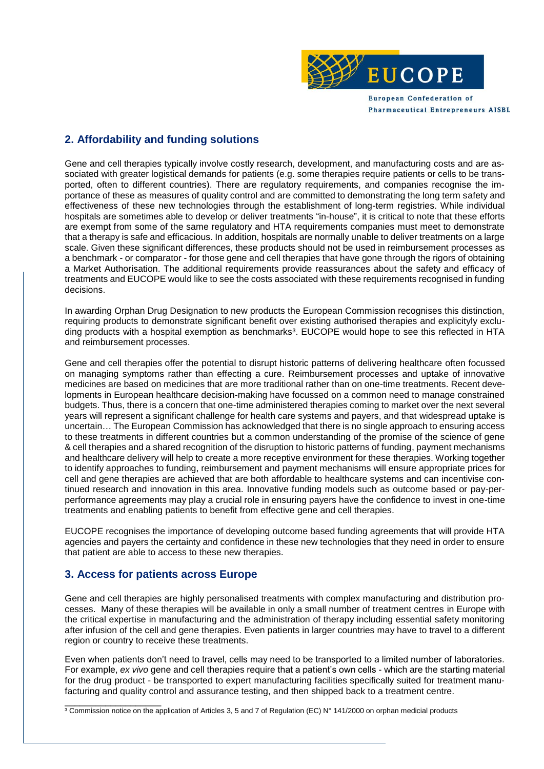

**Pharmaceutical Entrepreneurs AISBL** 

**2. Affordability and funding solutions** 

Gene and cell therapies typically involve costly research, development, and manufacturing costs and are associated with greater logistical demands for patients (e.g. some therapies require patients or cells to be transported, often to different countries). There are regulatory requirements, and companies recognise the importance of these as measures of quality control and are committed to demonstrating the long term safety and effectiveness of these new technologies through the establishment of long-term registries. While individual hospitals are sometimes able to develop or deliver treatments "in-house", it is critical to note that these efforts are exempt from some of the same regulatory and HTA requirements companies must meet to demonstrate that a therapy is safe and efficacious. In addition, hospitals are normally unable to deliver treatments on a large scale. Given these significant differences, these products should not be used in reimbursement processes as a benchmark - or comparator - for those gene and cell therapies that have gone through the rigors of obtaining a Market Authorisation. The additional requirements provide reassurances about the safety and efficacy of treatments and EUCOPE would like to see the costs associated with these requirements recognised in funding decisions.

In awarding Orphan Drug Designation to new products the European Commission recognises this distinction, requiring products to demonstrate significant benefit over existing authorised therapies and explicityly excluding products with a hospital exemption as benchmarks<sup>3</sup>. EUCOPE would hope to see this reflected in HTA and reimbursement processes.

Gene and cell therapies offer the potential to disrupt historic patterns of delivering healthcare often focussed on managing symptoms rather than effecting a cure. Reimbursement processes and uptake of innovative medicines are based on medicines that are more traditional rather than on one-time treatments. Recent developments in European healthcare decision-making have focussed on a common need to manage constrained budgets. Thus, there is a concern that one-time administered therapies coming to market over the next several years will represent a significant challenge for health care systems and payers, and that widespread uptake is uncertain… The European Commission has acknowledged that there is no single approach to ensuring access to these treatments in different countries but a common understanding of the promise of the science of gene & cell therapies and a shared recognition of the disruption to historic patterns of funding, payment mechanisms and healthcare delivery will help to create a more receptive environment for these therapies. Working together to identify approaches to funding, reimbursement and payment mechanisms will ensure appropriate prices for cell and gene therapies are achieved that are both affordable to healthcare systems and can incentivise continued research and innovation in this area. Innovative funding models such as outcome based or pay-perperformance agreements may play a crucial role in ensuring payers have the confidence to invest in one-time treatments and enabling patients to benefit from effective gene and cell therapies.

EUCOPE recognises the importance of developing outcome based funding agreements that will provide HTA agencies and payers the certainty and confidence in these new technologies that they need in order to ensure that patient are able to access to these new therapies.

#### **3. Access for patients across Europe**

Gene and cell therapies are highly personalised treatments with complex manufacturing and distribution processes. Many of these therapies will be available in only a small number of treatment centres in Europe with the critical expertise in manufacturing and the administration of therapy including essential safety monitoring after infusion of the cell and gene therapies. Even patients in larger countries may have to travel to a different region or country to receive these treatments.

Even when patients don't need to travel, cells may need to be transported to a limited number of laboratories. For example, *ex vivo* gene and cell therapies require that a patient's own cells - which are the starting material for the drug product - be transported to expert manufacturing facilities specifically suited for treatment manufacturing and quality control and assurance testing, and then shipped back to a treatment centre.

\_\_\_\_\_\_\_\_\_\_\_\_\_\_\_\_\_\_\_ <sup>3</sup> Commission notice on the application of Articles 3, 5 and 7 of Regulation (EC) N° 141/2000 on orphan medicial products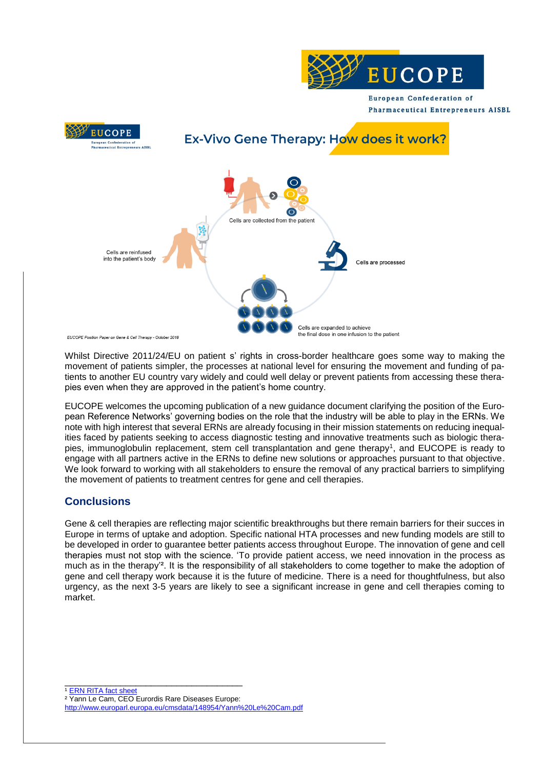

European Confederation of **Pharmaceutical Entrepreneurs AISBL** 



Whilst Directive 2011/24/EU on patient s' rights in cross-border healthcare goes some way to making the movement of patients simpler, the processes at national level for ensuring the movement and funding of patients to another EU country vary widely and could well delay or prevent patients from accessing these therapies even when they are approved in the patient's home country.

EUCOPE welcomes the upcoming publication of a new guidance document clarifying the position of the European Reference Networks' governing bodies on the role that the industry will be able to play in the ERNs. We note with high interest that several ERNs are already focusing in their mission statements on reducing inequalities faced by patients seeking to access diagnostic testing and innovative treatments such as biologic therapies, immunoglobulin replacement, stem cell transplantation and gene therapy<sup>1</sup>, and EUCOPE is ready to engage with all partners active in the ERNs to define new solutions or approaches pursuant to that objective. We look forward to working with all stakeholders to ensure the removal of any practical barriers to simplifying the movement of patients to treatment centres for gene and cell therapies.

#### **Conclusions**

Gene & cell therapies are reflecting major scientific breakthroughs but there remain barriers for their succes in Europe in terms of uptake and adoption. Specific national HTA processes and new funding models are still to be developed in order to guarantee better patients access throughout Europe. The innovation of gene and cell therapies must not stop with the science. 'To provide patient access, we need innovation in the process as much as in the therapy'². It is the responsibility of all stakeholders to come together to make the adoption of gene and cell therapy work because it is the future of medicine. There is a need for thoughtfulness, but also urgency, as the next 3-5 years are likely to see a significant increase in gene and cell therapies coming to market.

\_\_\_\_\_\_\_\_\_\_\_\_\_\_\_\_\_\_\_\_\_\_\_\_\_\_\_\_\_\_\_\_\_\_\_ <sup>1</sup> [ERN RITA fact sheet](https://ec.europa.eu/health/sites/health/files/ern/docs/ernrita_factsheet_en.pdf)

² Yann Le Cam, CEO Eurordis Rare Diseases Europe:

http://www.europarl.europa.eu/cmsdata/148954/Yann%20Le%20Cam.pdf